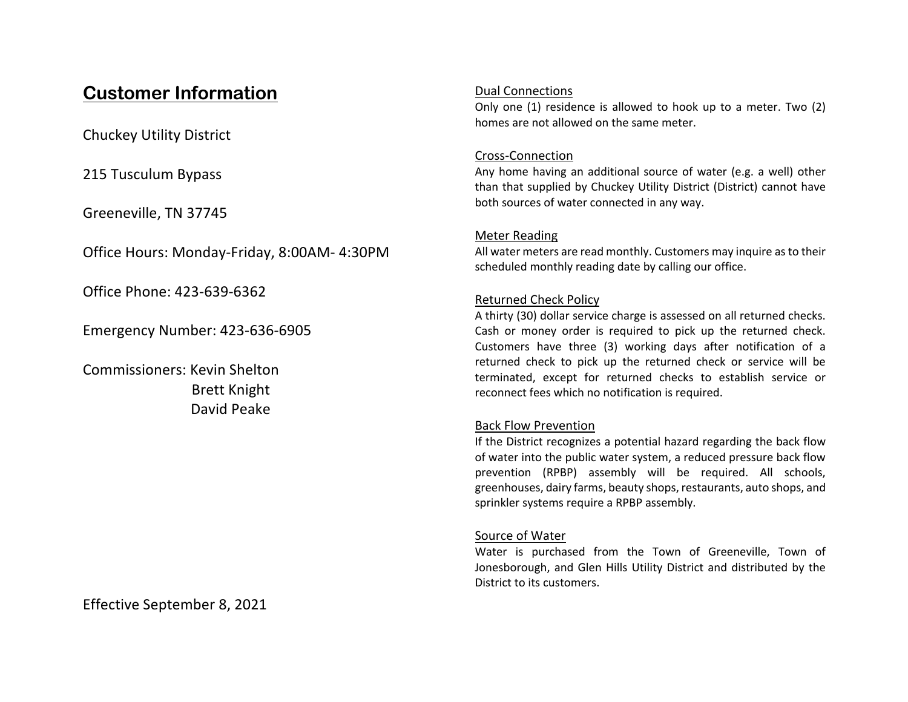# **Customer Information**

Chuckey Utility District

215 Tusculum Bypass

Greeneville, TN 37745

Office Hours: Monday-Friday, 8:00AM- 4:30PM

Office Phone: 423-639-6362

Emergency Number: 423-636-6905

Commissioners: Kevin Shelton Brett Knight David Peake

Effective September 8, 2021

## Dual Connections

Only one (1) residence is allowed to hook up to a meter. Two (2) homes are not allowed on the same meter.

# Cross-Connection

Any home having an additional source of water (e.g. a well) other than that supplied by Chuckey Utility District (District) cannot have both sources of water connected in any way.

# Meter Reading

All water meters are read monthly. Customers may inquire as to their scheduled monthly reading date by calling our office.

# Returned Check Policy

A thirty (30) dollar service charge is assessed on all returned checks. Cash or money order is required to pick up the returned check. Customers have three (3) working days after notification of a returned check to pick up the returned check or service will be terminated, except for returned checks to establish service or reconnect fees which no notification is required.

# Back Flow Prevention

If the District recognizes a potential hazard regarding the back flow of water into the public water system, a reduced pressure back flow prevention (RPBP) assembly will be required. All schools, greenhouses, dairy farms, beauty shops, restaurants, auto shops, and sprinkler systems require a RPBP assembly.

# Source of Water

Water is purchased from the Town of Greeneville, Town of Jonesborough, and Glen Hills Utility District and distributed by the District to its customers.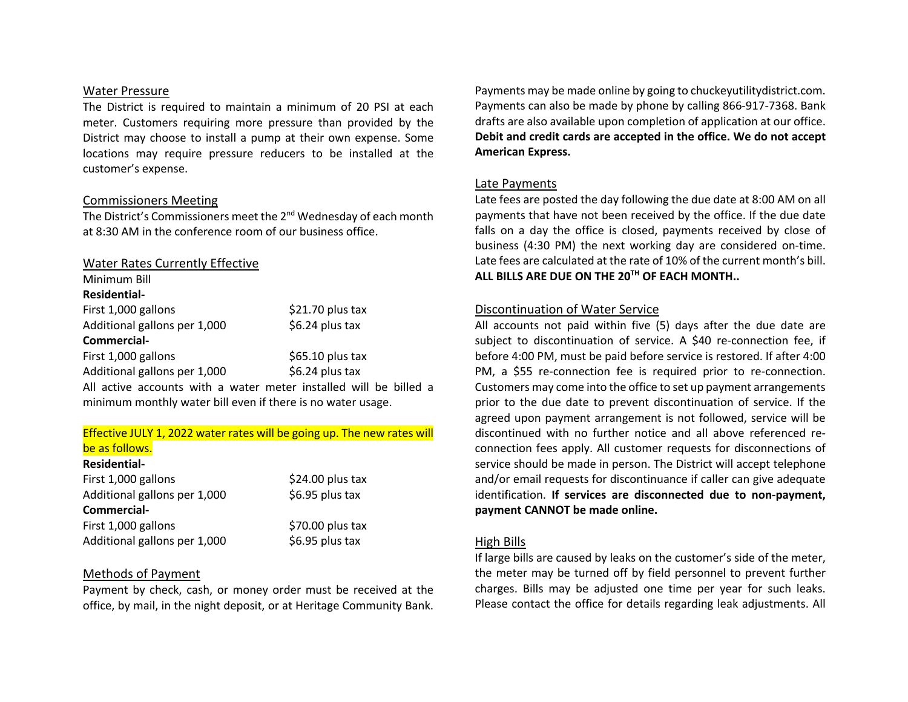#### Water Pressure

The District is required to maintain a minimum of 20 PSI at each meter. Customers requiring more pressure than provided by the District may choose to install a pump at their own expense. Some locations may require pressure reducers to be installed at the customer's expense.

## Commissioners Meeting

The District's Commissioners meet the 2<sup>nd</sup> Wednesday of each month at 8:30 AM in the conference room of our business office.

## Water Rates Currently Effective

| Minimum Bill                                                      |                   |  |
|-------------------------------------------------------------------|-------------------|--|
| <b>Residential-</b>                                               |                   |  |
| First 1,000 gallons                                               | $$21.70$ plus tax |  |
| Additional gallons per 1,000                                      | \$6.24 plus tax   |  |
| Commercial-                                                       |                   |  |
| First 1,000 gallons                                               | $$65.10$ plus tax |  |
| Additional gallons per 1,000                                      | $$6.24$ plus tax  |  |
| All active accounts with a water meter installed will be billed a |                   |  |

minimum monthly water bill even if there is no water usage.

## Effective JULY 1, 2022 water rates will be going up. The new rates will be as follows.

#### **Residential-**

| First 1,000 gallons          | $$24.00$ plus tax |
|------------------------------|-------------------|
| Additional gallons per 1,000 | \$6.95 plus tax   |
| Commercial-                  |                   |
| First 1,000 gallons          | \$70.00 plus tax  |
| Additional gallons per 1,000 | \$6.95 plus tax   |

## Methods of Payment

Payment by check, cash, or money order must be received at the office, by mail, in the night deposit, or at Heritage Community Bank.

Payments may be made online by going to chuckeyutilitydistrict.com. Payments can also be made by phone by calling 866-917-7368. Bank drafts are also available upon completion of application at our office. **Debit and credit cards are accepted in the office. We do not accept American Express.**

## Late Payments

Late fees are posted the day following the due date at 8:00 AM on all payments that have not been received by the office. If the due date falls on a day the office is closed, payments received by close of business (4:30 PM) the next working day are considered on-time. Late fees are calculated at the rate of 10% of the current month's bill. **ALL BILLS ARE DUE ON THE 20TH OF EACH MONTH..**

## Discontinuation of Water Service

All accounts not paid within five (5) days after the due date are subject to discontinuation of service. A \$40 re-connection fee, if before 4:00 PM, must be paid before service is restored. If after 4:00 PM, a \$55 re-connection fee is required prior to re-connection. Customers may come into the office to set up payment arrangements prior to the due date to prevent discontinuation of service. If the agreed upon payment arrangement is not followed, service will be discontinued with no further notice and all above referenced reconnection fees apply. All customer requests for disconnections of service should be made in person. The District will accept telephone and/or email requests for discontinuance if caller can give adequate identification. **If services are disconnected due to non-payment, payment CANNOT be made online.**

## High Bills

If large bills are caused by leaks on the customer's side of the meter, the meter may be turned off by field personnel to prevent further charges. Bills may be adjusted one time per year for such leaks. Please contact the office for details regarding leak adjustments. All